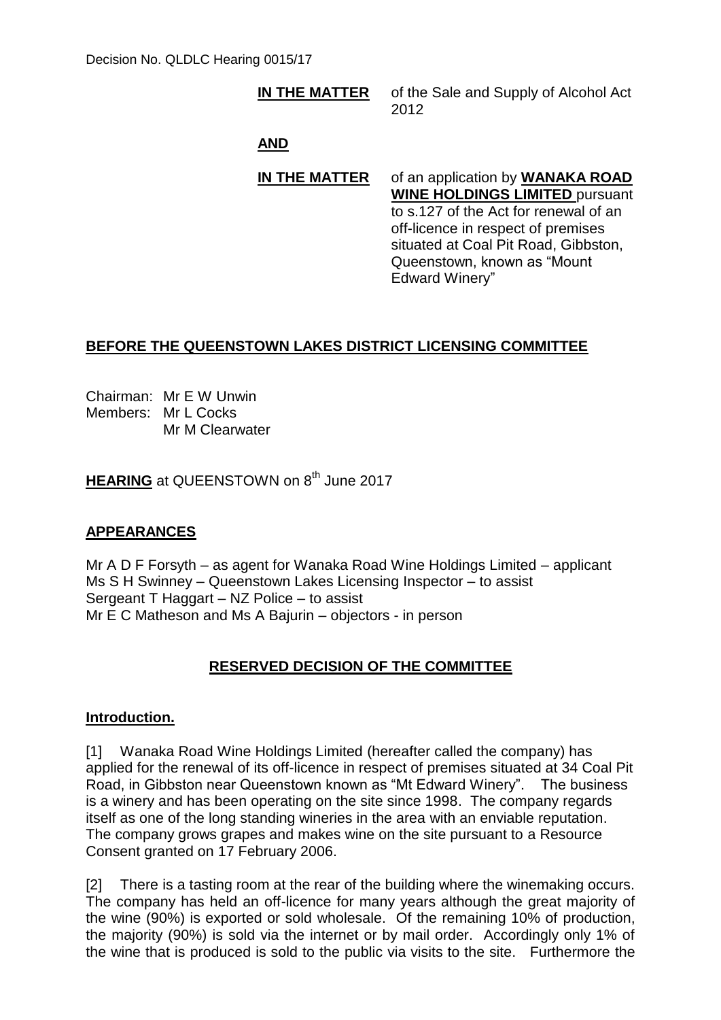#### **IN THE MATTER** of the Sale and Supply of Alcohol Act 2012

## **AND**

#### **IN THE MATTER** of an application by **WANAKA ROAD WINE HOLDINGS LIMITED** pursuant to s.127 of the Act for renewal of an off-licence in respect of premises situated at Coal Pit Road, Gibbston, Queenstown, known as "Mount Edward Winery"

## **BEFORE THE QUEENSTOWN LAKES DISTRICT LICENSING COMMITTEE**

Chairman: Mr E W Unwin Members: Mr L Cocks Mr M Clearwater

**HEARING** at QUEENSTOWN on 8<sup>th</sup> June 2017

## **APPEARANCES**

Mr A D F Forsyth – as agent for Wanaka Road Wine Holdings Limited – applicant Ms S H Swinney – Queenstown Lakes Licensing Inspector – to assist Sergeant T Haggart – NZ Police – to assist Mr E C Matheson and Ms A Bajurin – objectors - in person

# **RESERVED DECISION OF THE COMMITTEE**

### **Introduction.**

[1] Wanaka Road Wine Holdings Limited (hereafter called the company) has applied for the renewal of its off-licence in respect of premises situated at 34 Coal Pit Road, in Gibbston near Queenstown known as "Mt Edward Winery". The business is a winery and has been operating on the site since 1998. The company regards itself as one of the long standing wineries in the area with an enviable reputation. The company grows grapes and makes wine on the site pursuant to a Resource Consent granted on 17 February 2006.

[2] There is a tasting room at the rear of the building where the winemaking occurs. The company has held an off-licence for many years although the great majority of the wine (90%) is exported or sold wholesale. Of the remaining 10% of production, the majority (90%) is sold via the internet or by mail order. Accordingly only 1% of the wine that is produced is sold to the public via visits to the site. Furthermore the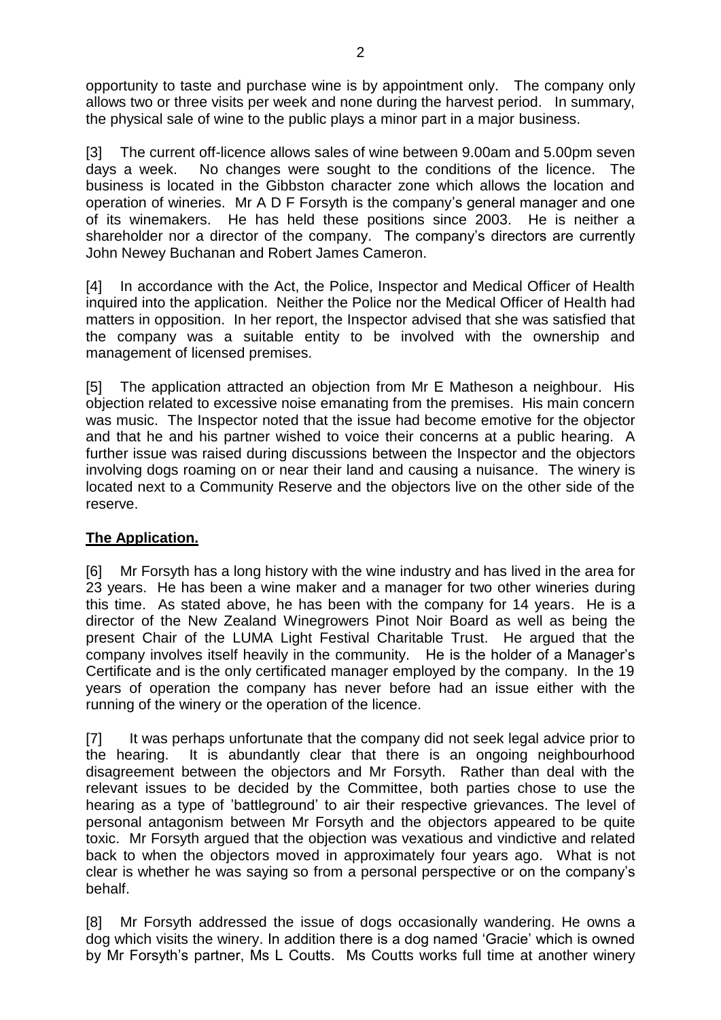opportunity to taste and purchase wine is by appointment only. The company only allows two or three visits per week and none during the harvest period. In summary, the physical sale of wine to the public plays a minor part in a major business.

[3] The current off-licence allows sales of wine between 9.00am and 5.00pm seven days a week. No changes were sought to the conditions of the licence. The business is located in the Gibbston character zone which allows the location and operation of wineries. Mr A D F Forsyth is the company's general manager and one of its winemakers. He has held these positions since 2003. He is neither a shareholder nor a director of the company. The company's directors are currently John Newey Buchanan and Robert James Cameron.

[4] In accordance with the Act, the Police, Inspector and Medical Officer of Health inquired into the application. Neither the Police nor the Medical Officer of Health had matters in opposition. In her report, the Inspector advised that she was satisfied that the company was a suitable entity to be involved with the ownership and management of licensed premises.

[5] The application attracted an objection from Mr E Matheson a neighbour. His objection related to excessive noise emanating from the premises. His main concern was music. The Inspector noted that the issue had become emotive for the objector and that he and his partner wished to voice their concerns at a public hearing. A further issue was raised during discussions between the Inspector and the objectors involving dogs roaming on or near their land and causing a nuisance. The winery is located next to a Community Reserve and the objectors live on the other side of the reserve.

## **The Application.**

[6] Mr Forsyth has a long history with the wine industry and has lived in the area for 23 years. He has been a wine maker and a manager for two other wineries during this time. As stated above, he has been with the company for 14 years. He is a director of the New Zealand Winegrowers Pinot Noir Board as well as being the present Chair of the LUMA Light Festival Charitable Trust. He argued that the company involves itself heavily in the community. He is the holder of a Manager's Certificate and is the only certificated manager employed by the company. In the 19 years of operation the company has never before had an issue either with the running of the winery or the operation of the licence.

[7] It was perhaps unfortunate that the company did not seek legal advice prior to the hearing. It is abundantly clear that there is an ongoing neighbourhood disagreement between the objectors and Mr Forsyth. Rather than deal with the relevant issues to be decided by the Committee, both parties chose to use the hearing as a type of 'battleground' to air their respective grievances. The level of personal antagonism between Mr Forsyth and the objectors appeared to be quite toxic. Mr Forsyth argued that the objection was vexatious and vindictive and related back to when the objectors moved in approximately four years ago. What is not clear is whether he was saying so from a personal perspective or on the company's behalf.

[8] Mr Forsyth addressed the issue of dogs occasionally wandering. He owns a dog which visits the winery. In addition there is a dog named 'Gracie' which is owned by Mr Forsyth's partner, Ms L Coutts. Ms Coutts works full time at another winery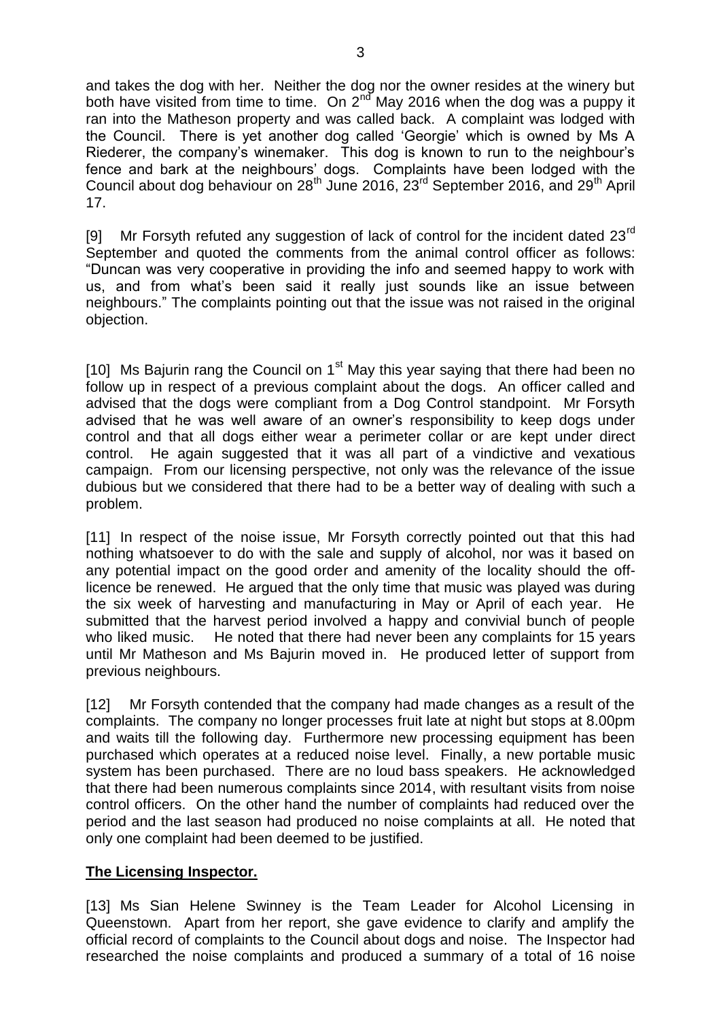and takes the dog with her. Neither the dog nor the owner resides at the winery but both have visited from time to time. On 2<sup>nd</sup> May 2016 when the dog was a puppy it ran into the Matheson property and was called back. A complaint was lodged with the Council. There is yet another dog called 'Georgie' which is owned by Ms A Riederer, the company's winemaker. This dog is known to run to the neighbour's fence and bark at the neighbours' dogs. Complaints have been lodged with the Council about dog behaviour on 28<sup>th</sup> June 2016, 23<sup>rd</sup> September 2016, and 29<sup>th</sup> April 17.

[9] Mr Forsyth refuted any suggestion of lack of control for the incident dated  $23<sup>rd</sup>$ September and quoted the comments from the animal control officer as follows: "Duncan was very cooperative in providing the info and seemed happy to work with us, and from what's been said it really just sounds like an issue between neighbours." The complaints pointing out that the issue was not raised in the original objection.

[10] Ms Bajurin rang the Council on  $1<sup>st</sup>$  May this year saying that there had been no follow up in respect of a previous complaint about the dogs. An officer called and advised that the dogs were compliant from a Dog Control standpoint. Mr Forsyth advised that he was well aware of an owner's responsibility to keep dogs under control and that all dogs either wear a perimeter collar or are kept under direct control. He again suggested that it was all part of a vindictive and vexatious campaign. From our licensing perspective, not only was the relevance of the issue dubious but we considered that there had to be a better way of dealing with such a problem.

[11] In respect of the noise issue, Mr Forsyth correctly pointed out that this had nothing whatsoever to do with the sale and supply of alcohol, nor was it based on any potential impact on the good order and amenity of the locality should the offlicence be renewed. He argued that the only time that music was played was during the six week of harvesting and manufacturing in May or April of each year. He submitted that the harvest period involved a happy and convivial bunch of people who liked music. He noted that there had never been any complaints for 15 years until Mr Matheson and Ms Bajurin moved in. He produced letter of support from previous neighbours.

[12] Mr Forsyth contended that the company had made changes as a result of the complaints. The company no longer processes fruit late at night but stops at 8.00pm and waits till the following day. Furthermore new processing equipment has been purchased which operates at a reduced noise level. Finally, a new portable music system has been purchased. There are no loud bass speakers. He acknowledged that there had been numerous complaints since 2014, with resultant visits from noise control officers. On the other hand the number of complaints had reduced over the period and the last season had produced no noise complaints at all. He noted that only one complaint had been deemed to be justified.

## **The Licensing Inspector.**

[13] Ms Sian Helene Swinney is the Team Leader for Alcohol Licensing in Queenstown. Apart from her report, she gave evidence to clarify and amplify the official record of complaints to the Council about dogs and noise. The Inspector had researched the noise complaints and produced a summary of a total of 16 noise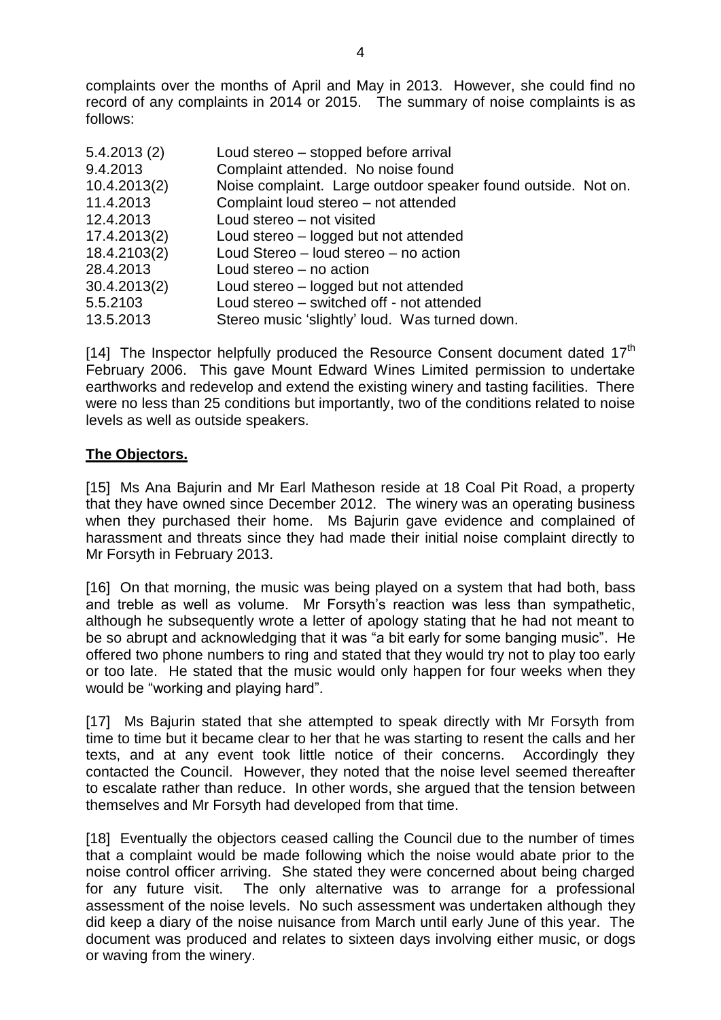complaints over the months of April and May in 2013. However, she could find no record of any complaints in 2014 or 2015. The summary of noise complaints is as follows:

| 5.4.2013(2)  | Loud stereo – stopped before arrival                          |
|--------------|---------------------------------------------------------------|
| 9.4.2013     | Complaint attended. No noise found                            |
| 10.4.2013(2) | Noise complaint. Large outdoor speaker found outside. Not on. |
| 11.4.2013    | Complaint loud stereo - not attended                          |
| 12.4.2013    | Loud stereo - not visited                                     |
| 17.4.2013(2) | Loud stereo – logged but not attended                         |
| 18.4.2103(2) | Loud Stereo - loud stereo - no action                         |
| 28.4.2013    | Loud stereo – no action                                       |
| 30.4.2013(2) | Loud stereo – logged but not attended                         |
| 5.5.2103     | Loud stereo – switched off - not attended                     |
| 13.5.2013    | Stereo music 'slightly' loud. Was turned down.                |

[14] The Inspector helpfully produced the Resource Consent document dated  $17<sup>th</sup>$ February 2006. This gave Mount Edward Wines Limited permission to undertake earthworks and redevelop and extend the existing winery and tasting facilities. There were no less than 25 conditions but importantly, two of the conditions related to noise levels as well as outside speakers.

### **The Objectors.**

[15] Ms Ana Bajurin and Mr Earl Matheson reside at 18 Coal Pit Road, a property that they have owned since December 2012. The winery was an operating business when they purchased their home. Ms Bajurin gave evidence and complained of harassment and threats since they had made their initial noise complaint directly to Mr Forsyth in February 2013.

[16] On that morning, the music was being played on a system that had both, bass and treble as well as volume. Mr Forsyth's reaction was less than sympathetic, although he subsequently wrote a letter of apology stating that he had not meant to be so abrupt and acknowledging that it was "a bit early for some banging music". He offered two phone numbers to ring and stated that they would try not to play too early or too late. He stated that the music would only happen for four weeks when they would be "working and playing hard".

[17] Ms Bajurin stated that she attempted to speak directly with Mr Forsyth from time to time but it became clear to her that he was starting to resent the calls and her texts, and at any event took little notice of their concerns. Accordingly they contacted the Council. However, they noted that the noise level seemed thereafter to escalate rather than reduce. In other words, she argued that the tension between themselves and Mr Forsyth had developed from that time.

[18] Eventually the objectors ceased calling the Council due to the number of times that a complaint would be made following which the noise would abate prior to the noise control officer arriving. She stated they were concerned about being charged for any future visit. The only alternative was to arrange for a professional assessment of the noise levels. No such assessment was undertaken although they did keep a diary of the noise nuisance from March until early June of this year. The document was produced and relates to sixteen days involving either music, or dogs or waving from the winery.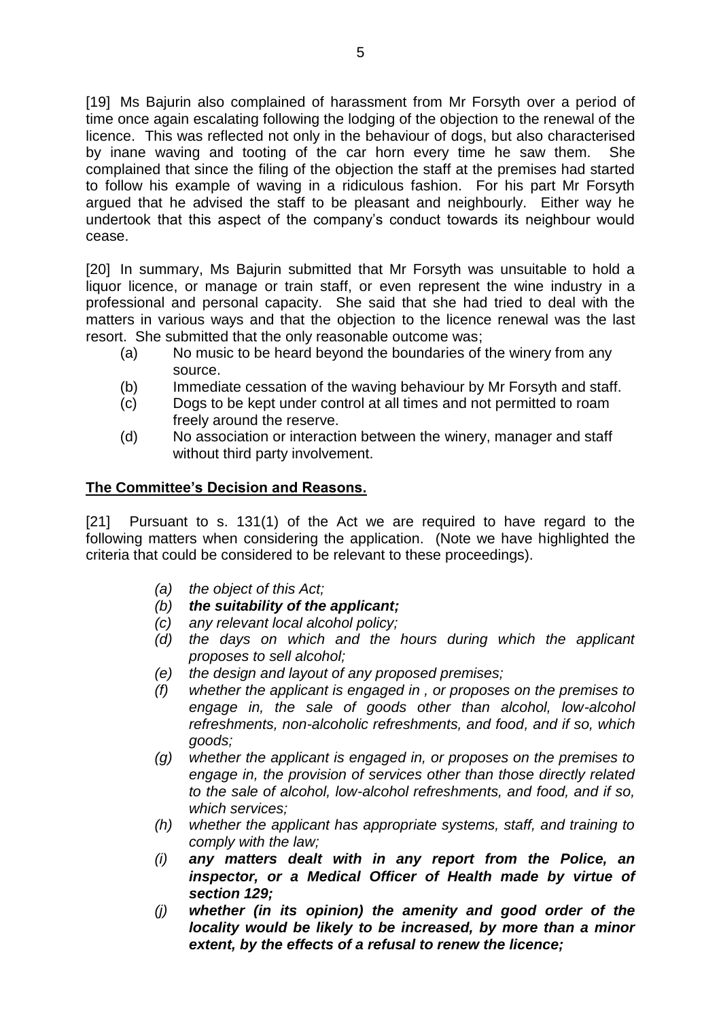[19] Ms Bajurin also complained of harassment from Mr Forsyth over a period of time once again escalating following the lodging of the objection to the renewal of the licence. This was reflected not only in the behaviour of dogs, but also characterised by inane waving and tooting of the car horn every time he saw them. She complained that since the filing of the objection the staff at the premises had started to follow his example of waving in a ridiculous fashion. For his part Mr Forsyth argued that he advised the staff to be pleasant and neighbourly. Either way he undertook that this aspect of the company's conduct towards its neighbour would cease.

[20] In summary, Ms Bajurin submitted that Mr Forsyth was unsuitable to hold a liquor licence, or manage or train staff, or even represent the wine industry in a professional and personal capacity. She said that she had tried to deal with the matters in various ways and that the objection to the licence renewal was the last resort. She submitted that the only reasonable outcome was;

- (a) No music to be heard beyond the boundaries of the winery from any source.
- (b) Immediate cessation of the waving behaviour by Mr Forsyth and staff.
- (c) Dogs to be kept under control at all times and not permitted to roam freely around the reserve.
- (d) No association or interaction between the winery, manager and staff without third party involvement.

## **The Committee's Decision and Reasons.**

[21] Pursuant to s. 131(1) of the Act we are required to have regard to the following matters when considering the application. (Note we have highlighted the criteria that could be considered to be relevant to these proceedings).

- *(a) the object of this Act;*
- *(b) the suitability of the applicant;*
- *(c) any relevant local alcohol policy;*
- *(d) the days on which and the hours during which the applicant proposes to sell alcohol;*
- *(e) the design and layout of any proposed premises;*
- *(f) whether the applicant is engaged in , or proposes on the premises to engage in, the sale of goods other than alcohol, low-alcohol refreshments, non-alcoholic refreshments, and food, and if so, which goods;*
- *(g) whether the applicant is engaged in, or proposes on the premises to engage in, the provision of services other than those directly related to the sale of alcohol, low-alcohol refreshments, and food, and if so, which services;*
- *(h) whether the applicant has appropriate systems, staff, and training to comply with the law;*
- *(i) any matters dealt with in any report from the Police, an inspector, or a Medical Officer of Health made by virtue of section 129;*
- *(j) whether (in its opinion) the amenity and good order of the locality would be likely to be increased, by more than a minor extent, by the effects of a refusal to renew the licence;*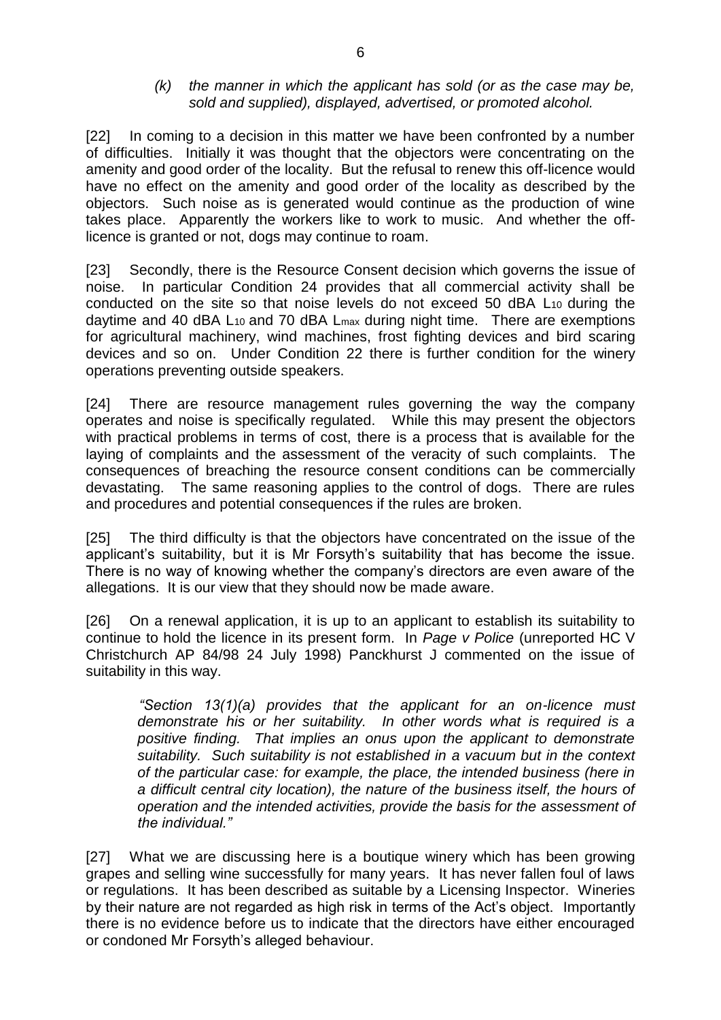#### *(k) the manner in which the applicant has sold (or as the case may be, sold and supplied), displayed, advertised, or promoted alcohol.*

[22] In coming to a decision in this matter we have been confronted by a number of difficulties. Initially it was thought that the objectors were concentrating on the amenity and good order of the locality. But the refusal to renew this off-licence would have no effect on the amenity and good order of the locality as described by the objectors. Such noise as is generated would continue as the production of wine takes place. Apparently the workers like to work to music. And whether the offlicence is granted or not, dogs may continue to roam.

[23] Secondly, there is the Resource Consent decision which governs the issue of noise. In particular Condition 24 provides that all commercial activity shall be conducted on the site so that noise levels do not exceed 50 dBA L10 during the daytime and 40 dBA L<sub>10</sub> and 70 dBA L<sub>max</sub> during night time. There are exemptions for agricultural machinery, wind machines, frost fighting devices and bird scaring devices and so on. Under Condition 22 there is further condition for the winery operations preventing outside speakers.

[24] There are resource management rules governing the way the company operates and noise is specifically regulated. While this may present the objectors with practical problems in terms of cost, there is a process that is available for the laying of complaints and the assessment of the veracity of such complaints. The consequences of breaching the resource consent conditions can be commercially devastating. The same reasoning applies to the control of dogs. There are rules and procedures and potential consequences if the rules are broken.

[25] The third difficulty is that the objectors have concentrated on the issue of the applicant's suitability, but it is Mr Forsyth's suitability that has become the issue. There is no way of knowing whether the company's directors are even aware of the allegations. It is our view that they should now be made aware.

[26] On a renewal application, it is up to an applicant to establish its suitability to continue to hold the licence in its present form. In *Page v Police* (unreported HC V Christchurch AP 84/98 24 July 1998) Panckhurst J commented on the issue of suitability in this way.

*"Section 13(1)(a) provides that the applicant for an on-licence must demonstrate his or her suitability. In other words what is required is a positive finding. That implies an onus upon the applicant to demonstrate suitability. Such suitability is not established in a vacuum but in the context of the particular case: for example, the place, the intended business (here in a difficult central city location), the nature of the business itself, the hours of operation and the intended activities, provide the basis for the assessment of the individual."* 

[27] What we are discussing here is a boutique winery which has been growing grapes and selling wine successfully for many years. It has never fallen foul of laws or regulations. It has been described as suitable by a Licensing Inspector. Wineries by their nature are not regarded as high risk in terms of the Act's object. Importantly there is no evidence before us to indicate that the directors have either encouraged or condoned Mr Forsyth's alleged behaviour.